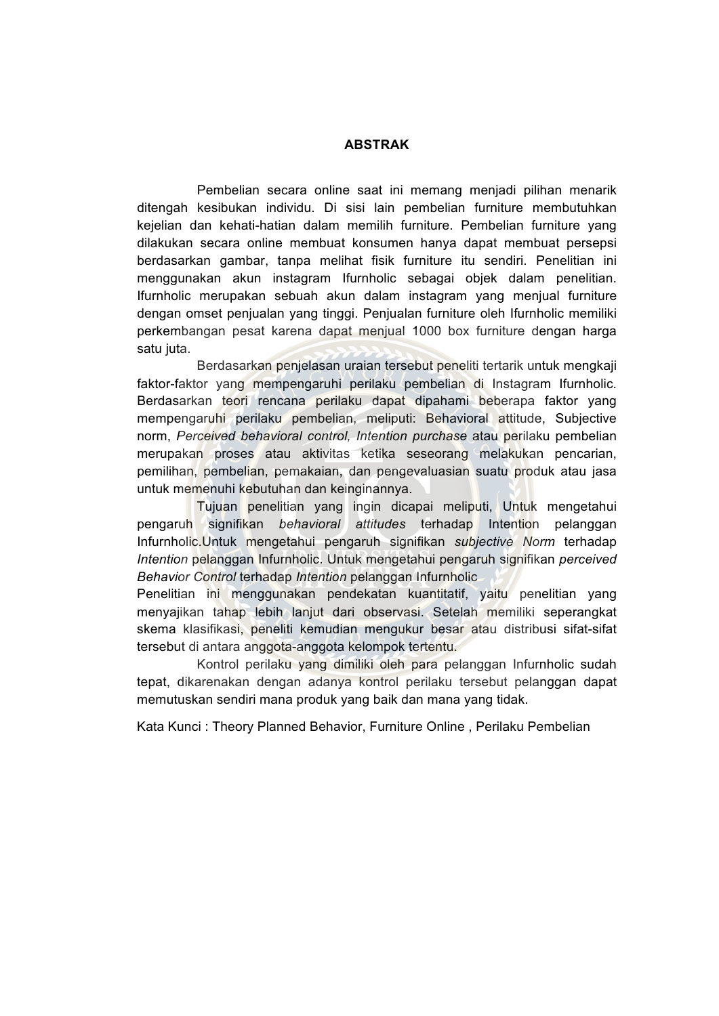## **ABSTRAK**

Pembelian secara online saat ini memang menjadi pilihan menarik ditengah kesibukan individu. Di sisi lain pembelian furniture membutuhkan kejelian dan kehati-hatian dalam memilih furniture. Pembelian furniture yang dilakukan secara online membuat konsumen hanya dapat membuat persepsi berdasarkan gambar, tanpa melihat fisik furniture itu sendiri. Penelitian ini menggunakan akun instagram Ifurnholic sebagai objek dalam penelitian. Ifurnholic merupakan sebuah akun dalam instagram yang menjual furniture dengan omset penjualan yang tinggi. Penjualan furniture oleh Ifurnholic memiliki perkembangan pesat karena dapat menjual 1000 box furniture dengan harga satu juta.

Berdasarkan penjelasan uraian tersebut peneliti tertarik untuk mengkaji faktor-faktor yang mempengaruhi perilaku pembelian di Instagram Ifurnholic. Berdasarkan teori rencana perilaku dapat dipahami beberapa faktor yang mempengaruhi perilaku pembelian, meliputi: Behavioral attitude, Subjective norm, *Perceived behavioral control, Intention purchase* atau perilaku pembelian merupakan proses atau aktivitas ketika seseorang melakukan pencarian, pemilihan, pembelian, pemakaian, dan pengevaluasian suatu produk atau jasa untuk memenuhi kebutuhan dan keinginannya.

Tujuan penelitian yang ingin dicapai meliputi, Untuk mengetahui pengaruh signifikan *behavioral attitudes* terhadap Intention pelanggan Infurnholic.Untuk mengetahui pengaruh signifikan *subjective Norm* terhadap *Intention* pelanggan Infurnholic. Untuk mengetahui pengaruh signifikan *perceived Behavior Control* terhadap *Intention* pelanggan Infurnholic

Penelitian ini menggunakan pendekatan kuantitatif, yaitu penelitian yang menyajikan tahap lebih lanjut dari observasi. Setelah memiliki seperangkat skema klasifikasi, peneliti kemudian mengukur besar atau distribusi sifat-sifat tersebut di antara anggota-anggota kelompok tertentu.

Kontrol perilaku yang dimiliki oleh para pelanggan Infurnholic sudah tepat, dikarenakan dengan adanya kontrol perilaku tersebut pelanggan dapat memutuskan sendiri mana produk yang baik dan mana yang tidak.

Kata Kunci : Theory Planned Behavior, Furniture Online , Perilaku Pembelian